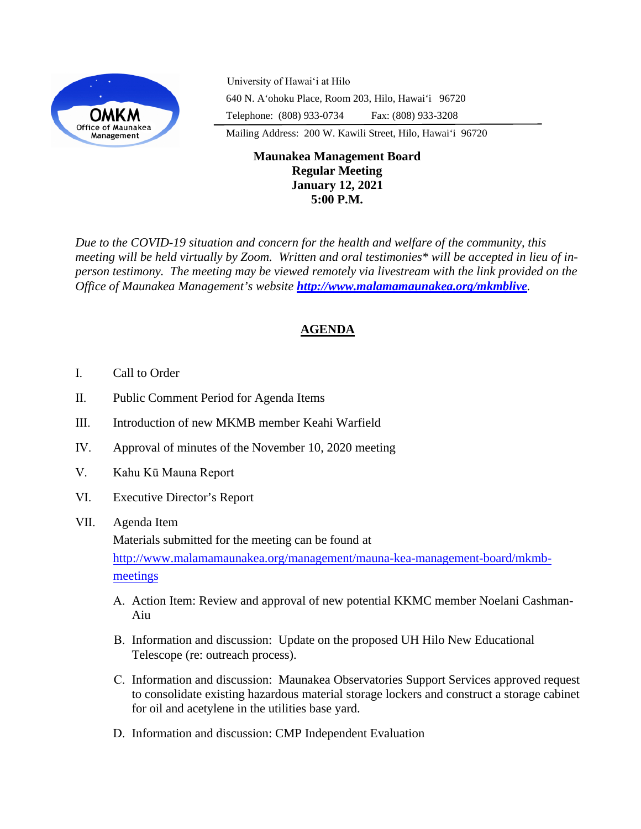

University of Hawaiʻi at Hilo 640 N. A'ohoku Place, Room 203, Hilo, Hawai'i 96720 Telephone: (808) 933-0734 Fax: (808) 933-3208 Mailing Address: 200 W. Kawili Street, Hilo, Hawai'i 96720

## **Maunakea Management Board Regular Meeting January 12, 2021 5:00 P.M.**

*Due to the COVID-19 situation and concern for the health and welfare of the community, this meeting will be held virtually by Zoom. Written and oral testimonies\* will be accepted in lieu of inperson testimony. The meeting may be viewed remotely via livestream with the link provided on the Office of Maunakea Management's website <http://www.malamamaunakea.org/mkmblive>.* 

# **AGENDA**

- I. Call to Order
- II. Public Comment Period for Agenda Items
- III. Introduction of new MKMB member Keahi Warfield
- IV. Approval of minutes of the November 10, 2020 meeting
- V. Kahu Kū Mauna Report
- VI. Executive Director's Report

## VII. Agenda Item

Materials submitted for the meeting can be found at

[http://www.malamamaunakea.org/management/mauna-kea-management-board/mkmb](http://www.malamamaunakea.org/management/mauna-kea-management-board/mkmb-meetings)[meetings](http://www.malamamaunakea.org/management/mauna-kea-management-board/mkmb-meetings)

- A. Action Item: Review and approval of new potential KKMC member Noelani Cashman-Aiu
- B. Information and discussion: Update on the proposed UH Hilo New Educational Telescope (re: outreach process).
- C. Information and discussion: Maunakea Observatories Support Services approved request to consolidate existing hazardous material storage lockers and construct a storage cabinet for oil and acetylene in the utilities base yard.
- D. Information and discussion: CMP Independent Evaluation